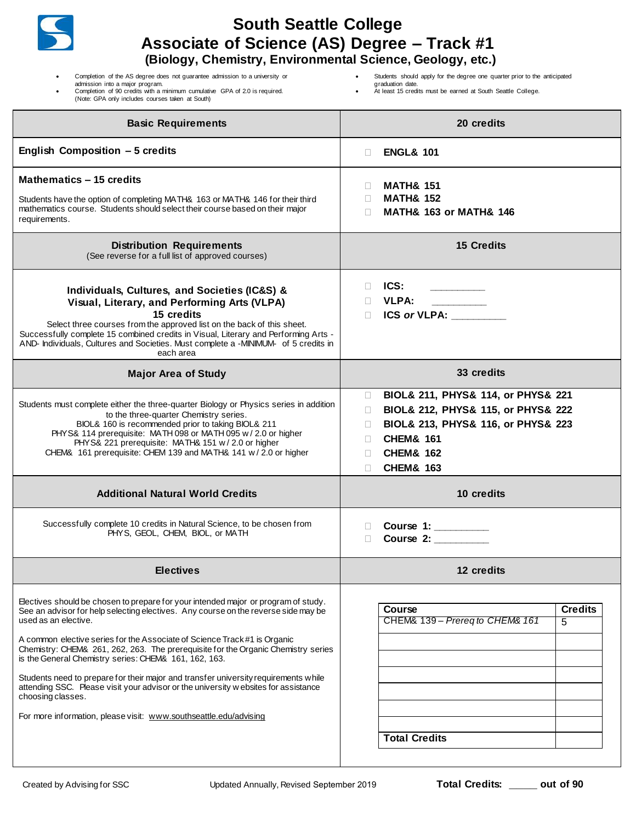| <b>South Seattle College</b><br>Associate of Science (AS) Degree - Track #1<br>(Biology, Chemistry, Environmental Science, Geology, etc.)                                                                                                                                                                                                                                                                                                                                                                                                                                                                                                                                                          |                                                                                                                                                                                                                            |
|----------------------------------------------------------------------------------------------------------------------------------------------------------------------------------------------------------------------------------------------------------------------------------------------------------------------------------------------------------------------------------------------------------------------------------------------------------------------------------------------------------------------------------------------------------------------------------------------------------------------------------------------------------------------------------------------------|----------------------------------------------------------------------------------------------------------------------------------------------------------------------------------------------------------------------------|
| Completion of the AS degree does not guarantee admission to a university or<br>admission into a major program.<br>Completion of 90 credits with a minimum cumulative GPA of 2.0 is required.<br>(Note: GPA only includes courses taken at South)                                                                                                                                                                                                                                                                                                                                                                                                                                                   | Students should apply for the degree one quarter prior to the anticipated<br>graduation date.<br>At least 15 credits must be earned at South Seattle College.                                                              |
| <b>Basic Requirements</b>                                                                                                                                                                                                                                                                                                                                                                                                                                                                                                                                                                                                                                                                          | 20 credits                                                                                                                                                                                                                 |
| English Composition - 5 credits                                                                                                                                                                                                                                                                                                                                                                                                                                                                                                                                                                                                                                                                    | <b>ENGL&amp; 101</b><br>$\Box$                                                                                                                                                                                             |
| Mathematics - 15 credits<br>Students have the option of completing MATH& 163 or MATH& 146 for their third<br>mathematics course. Students should select their course based on their major<br>requirements.                                                                                                                                                                                                                                                                                                                                                                                                                                                                                         | <b>MATH&amp; 151</b><br>$\Box$<br><b>MATH&amp; 152</b><br>$\Box$<br><b>MATH&amp; 163 or MATH&amp; 146</b><br>П                                                                                                             |
| <b>Distribution Requirements</b><br>(See reverse for a full list of approved courses)                                                                                                                                                                                                                                                                                                                                                                                                                                                                                                                                                                                                              | <b>15 Credits</b>                                                                                                                                                                                                          |
| Individuals, Cultures, and Societies (IC&S) &<br>Visual, Literary, and Performing Arts (VLPA)<br>15 credits<br>Select three courses from the approved list on the back of this sheet.<br>Successfully complete 15 combined credits in Visual, Literary and Performing Arts -<br>AND- Individuals, Cultures and Societies. Must complete a -MINIMUM- of 5 credits in<br>each area                                                                                                                                                                                                                                                                                                                   | ICS:<br>$\Box$<br><b>VLPA:</b><br>$\Box$<br><b>ICS or VLPA:</b><br>$\Box$                                                                                                                                                  |
| <b>Major Area of Study</b>                                                                                                                                                                                                                                                                                                                                                                                                                                                                                                                                                                                                                                                                         | 33 credits                                                                                                                                                                                                                 |
| Students must complete either the three-quarter Biology or Physics series in addition<br>to the three-quarter Chemistry series.<br>BIOL& 160 is recommended prior to taking BIOL& 211<br>PHYS& 114 prerequisite: MATH 098 or MATH 095 w / 2.0 or higher<br>PHYS& 221 prerequisite: MATH& 151 w / 2.0 or higher<br>CHEM& 161 prerequisite: CHEM 139 and MATH& 141 w / 2.0 or higher                                                                                                                                                                                                                                                                                                                 | BIOL& 211, PHYS& 114, or PHYS& 221<br>$\Box$<br>BIOL& 212, PHYS& 115, or PHYS& 222<br>⊔<br>BIOL& 213, PHYS& 116, or PHYS& 223<br>П<br><b>CHEM&amp; 161</b><br>$\Box$<br><b>CHEM&amp; 162</b><br><b>CHEM&amp; 163</b><br>П. |
| <b>Additional Natural World Credits</b>                                                                                                                                                                                                                                                                                                                                                                                                                                                                                                                                                                                                                                                            | 10 credits                                                                                                                                                                                                                 |
| Successfully complete 10 credits in Natural Science, to be chosen from<br>PHYS, GEOL, CHEM, BIOL, or MATH                                                                                                                                                                                                                                                                                                                                                                                                                                                                                                                                                                                          | Course 1: ________<br>$\Box$<br>Course 2:<br>$\Box$                                                                                                                                                                        |
| <b>Electives</b>                                                                                                                                                                                                                                                                                                                                                                                                                                                                                                                                                                                                                                                                                   | 12 credits                                                                                                                                                                                                                 |
| Electives should be chosen to prepare for your intended major or program of study.<br>See an advisor for help selecting electives. Any course on the reverse side may be<br>used as an elective.<br>A common elective series for the Associate of Science Track#1 is Organic<br>Chemistry: CHEM& 261, 262, 263. The prerequisite for the Organic Chemistry series<br>is the General Chemistry series: CHEM& 161, 162, 163.<br>Students need to prepare for their major and transfer university requirements while<br>attending SSC. Please visit your advisor or the university w ebsites for assistance<br>choosing classes.<br>For more information, please visit: www.southseattle.edu/advising | <b>Credits</b><br>Course<br>CHEM& 139 - Prereg to CHEM& 161<br>5<br><b>Total Credits</b>                                                                                                                                   |